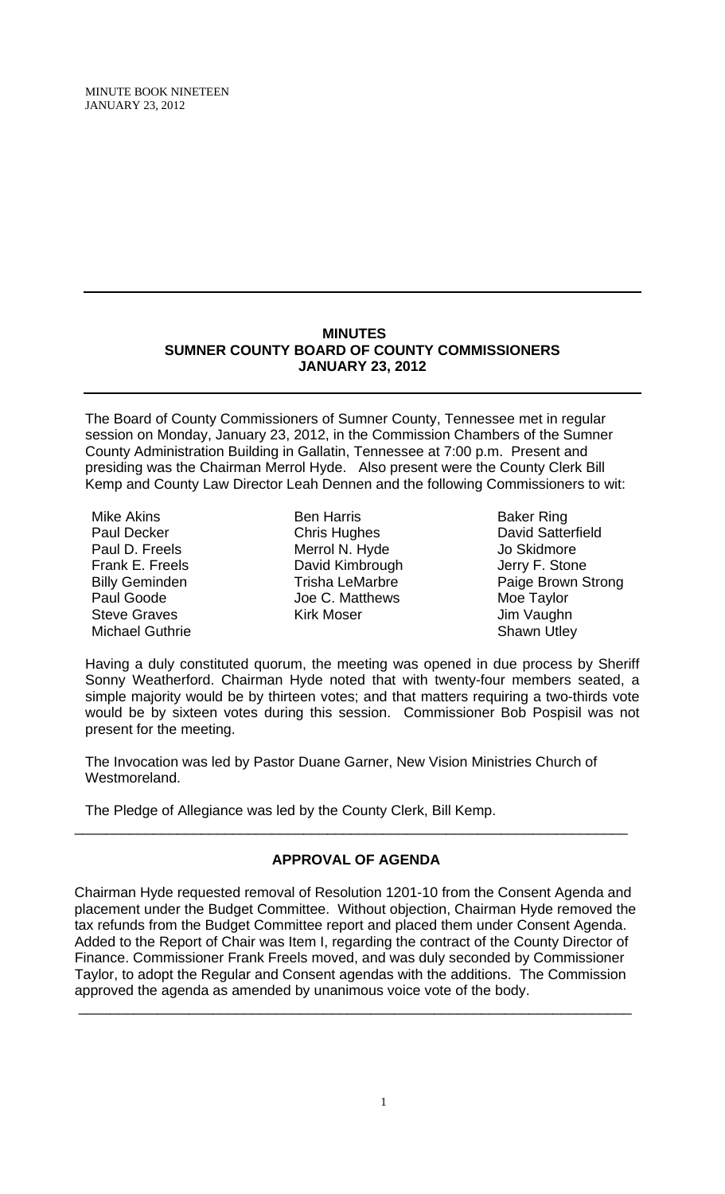MINUTE BOOK NINETEEN JANUARY 23, 2012

# **MINUTES SUMNER COUNTY BOARD OF COUNTY COMMISSIONERS JANUARY 23, 2012**

The Board of County Commissioners of Sumner County, Tennessee met in regular session on Monday, January 23, 2012, in the Commission Chambers of the Sumner County Administration Building in Gallatin, Tennessee at 7:00 p.m. Present and presiding was the Chairman Merrol Hyde. Also present were the County Clerk Bill Kemp and County Law Director Leah Dennen and the following Commissioners to wit:

Mike Akins Paul Decker Paul D. Freels Frank E. Freels Billy Geminden Paul Goode Steve Graves Michael Guthrie

Ben Harris Chris Hughes Merrol N. Hyde David Kimbrough Trisha LeMarbre Joe C. Matthews Kirk Moser

Baker Ring David Satterfield Jo Skidmore Jerry F. Stone Paige Brown Strong Moe Taylor Jim Vaughn Shawn Utley

Having a duly constituted quorum, the meeting was opened in due process by Sheriff Sonny Weatherford. Chairman Hyde noted that with twenty-four members seated, a simple majority would be by thirteen votes; and that matters requiring a two-thirds vote would be by sixteen votes during this session. Commissioner Bob Pospisil was not present for the meeting.

The Invocation was led by Pastor Duane Garner, New Vision Ministries Church of Westmoreland.

The Pledge of Allegiance was led by the County Clerk, Bill Kemp.

# **APPROVAL OF AGENDA**

\_\_\_\_\_\_\_\_\_\_\_\_\_\_\_\_\_\_\_\_\_\_\_\_\_\_\_\_\_\_\_\_\_\_\_\_\_\_\_\_\_\_\_\_\_\_\_\_\_\_\_\_\_\_\_\_\_\_\_\_\_\_\_\_\_\_\_\_\_\_

Chairman Hyde requested removal of Resolution 1201-10 from the Consent Agenda and placement under the Budget Committee. Without objection, Chairman Hyde removed the tax refunds from the Budget Committee report and placed them under Consent Agenda. Added to the Report of Chair was Item I, regarding the contract of the County Director of Finance. Commissioner Frank Freels moved, and was duly seconded by Commissioner Taylor, to adopt the Regular and Consent agendas with the additions. The Commission approved the agenda as amended by unanimous voice vote of the body.

\_\_\_\_\_\_\_\_\_\_\_\_\_\_\_\_\_\_\_\_\_\_\_\_\_\_\_\_\_\_\_\_\_\_\_\_\_\_\_\_\_\_\_\_\_\_\_\_\_\_\_\_\_\_\_\_\_\_\_\_\_\_\_\_\_\_\_\_\_\_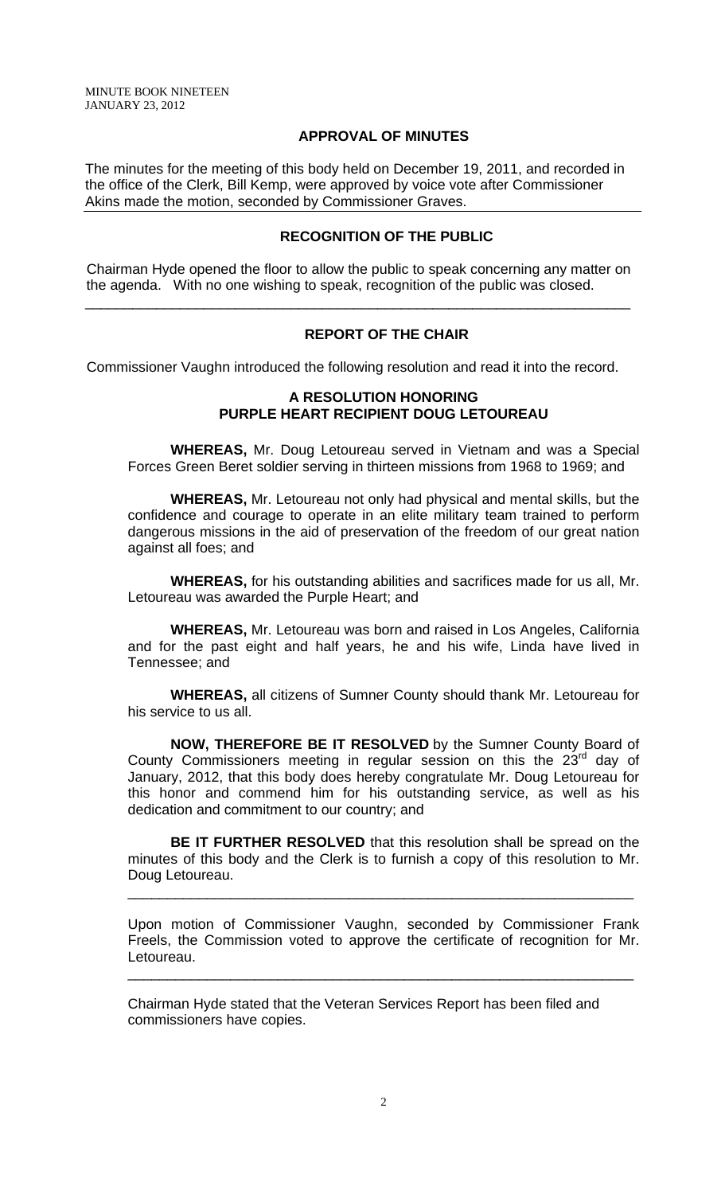### **APPROVAL OF MINUTES**

The minutes for the meeting of this body held on December 19, 2011, and recorded in the office of the Clerk, Bill Kemp, were approved by voice vote after Commissioner Akins made the motion, seconded by Commissioner Graves.

## **RECOGNITION OF THE PUBLIC**

 Chairman Hyde opened the floor to allow the public to speak concerning any matter on the agenda. With no one wishing to speak, recognition of the public was closed.

\_\_\_\_\_\_\_\_\_\_\_\_\_\_\_\_\_\_\_\_\_\_\_\_\_\_\_\_\_\_\_\_\_\_\_\_\_\_\_\_\_\_\_\_\_\_\_\_\_\_\_\_\_\_\_\_\_\_\_\_\_\_\_\_\_\_\_\_\_

## **REPORT OF THE CHAIR**

Commissioner Vaughn introduced the following resolution and read it into the record.

## **A RESOLUTION HONORING PURPLE HEART RECIPIENT DOUG LETOUREAU**

**WHEREAS,** Mr. Doug Letoureau served in Vietnam and was a Special Forces Green Beret soldier serving in thirteen missions from 1968 to 1969; and

**WHEREAS,** Mr. Letoureau not only had physical and mental skills, but the confidence and courage to operate in an elite military team trained to perform dangerous missions in the aid of preservation of the freedom of our great nation against all foes; and

**WHEREAS,** for his outstanding abilities and sacrifices made for us all, Mr. Letoureau was awarded the Purple Heart; and

**WHEREAS,** Mr. Letoureau was born and raised in Los Angeles, California and for the past eight and half years, he and his wife, Linda have lived in Tennessee; and

**WHEREAS,** all citizens of Sumner County should thank Mr. Letoureau for his service to us all.

**NOW, THEREFORE BE IT RESOLVED** by the Sumner County Board of County Commissioners meeting in regular session on this the  $23<sup>rd</sup>$  day of January, 2012, that this body does hereby congratulate Mr. Doug Letoureau for this honor and commend him for his outstanding service, as well as his dedication and commitment to our country; and

**BE IT FURTHER RESOLVED** that this resolution shall be spread on the minutes of this body and the Clerk is to furnish a copy of this resolution to Mr. Doug Letoureau.

\_\_\_\_\_\_\_\_\_\_\_\_\_\_\_\_\_\_\_\_\_\_\_\_\_\_\_\_\_\_\_\_\_\_\_\_\_\_\_\_\_\_\_\_\_\_\_\_\_\_\_\_\_\_\_\_\_\_\_\_\_\_\_\_

Upon motion of Commissioner Vaughn, seconded by Commissioner Frank Freels, the Commission voted to approve the certificate of recognition for Mr. Letoureau.

\_\_\_\_\_\_\_\_\_\_\_\_\_\_\_\_\_\_\_\_\_\_\_\_\_\_\_\_\_\_\_\_\_\_\_\_\_\_\_\_\_\_\_\_\_\_\_\_\_\_\_\_\_\_\_\_\_\_\_\_\_\_\_\_

Chairman Hyde stated that the Veteran Services Report has been filed and commissioners have copies.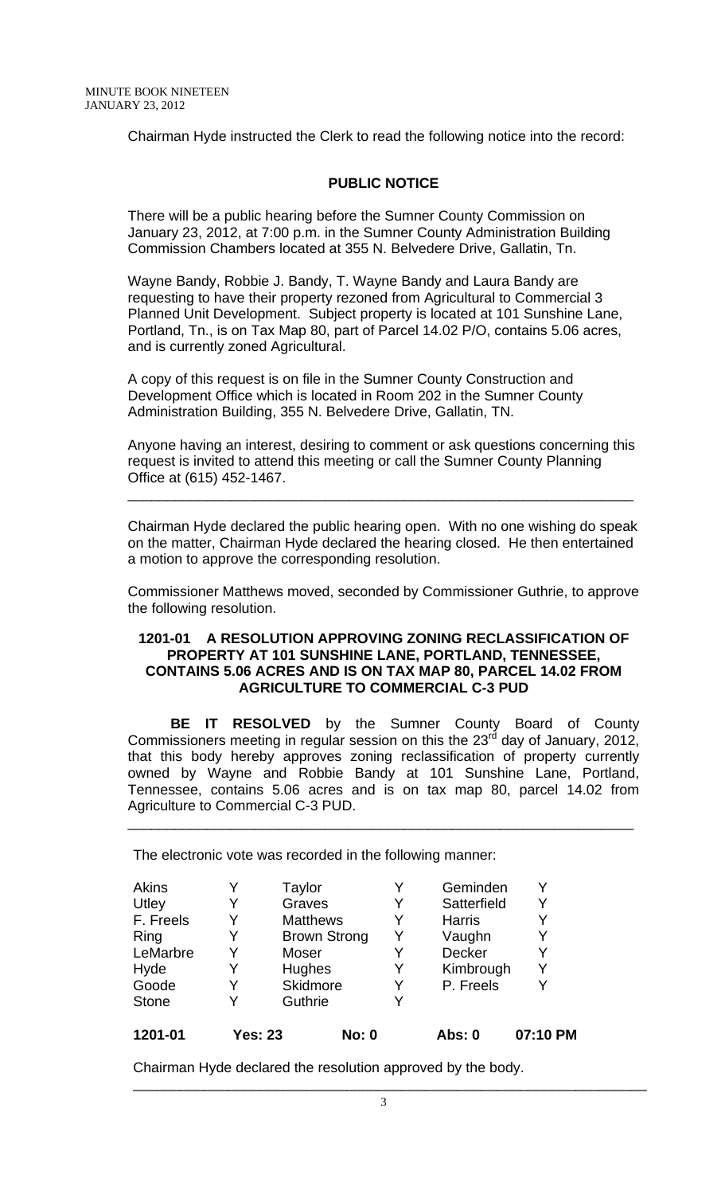Chairman Hyde instructed the Clerk to read the following notice into the record:

## **PUBLIC NOTICE**

There will be a public hearing before the Sumner County Commission on January 23, 2012, at 7:00 p.m. in the Sumner County Administration Building Commission Chambers located at 355 N. Belvedere Drive, Gallatin, Tn.

Wayne Bandy, Robbie J. Bandy, T. Wayne Bandy and Laura Bandy are requesting to have their property rezoned from Agricultural to Commercial 3 Planned Unit Development. Subject property is located at 101 Sunshine Lane, Portland, Tn., is on Tax Map 80, part of Parcel 14.02 P/O, contains 5.06 acres, and is currently zoned Agricultural.

A copy of this request is on file in the Sumner County Construction and Development Office which is located in Room 202 in the Sumner County Administration Building, 355 N. Belvedere Drive, Gallatin, TN.

Anyone having an interest, desiring to comment or ask questions concerning this request is invited to attend this meeting or call the Sumner County Planning Office at (615) 452-1467.

\_\_\_\_\_\_\_\_\_\_\_\_\_\_\_\_\_\_\_\_\_\_\_\_\_\_\_\_\_\_\_\_\_\_\_\_\_\_\_\_\_\_\_\_\_\_\_\_\_\_\_\_\_\_\_\_\_\_\_\_\_\_\_\_

Chairman Hyde declared the public hearing open. With no one wishing do speak on the matter, Chairman Hyde declared the hearing closed. He then entertained a motion to approve the corresponding resolution.

Commissioner Matthews moved, seconded by Commissioner Guthrie, to approve the following resolution.

## **1201-01 A RESOLUTION APPROVING ZONING RECLASSIFICATION OF PROPERTY AT 101 SUNSHINE LANE, PORTLAND, TENNESSEE, CONTAINS 5.06 ACRES AND IS ON TAX MAP 80, PARCEL 14.02 FROM AGRICULTURE TO COMMERCIAL C-3 PUD**

 **BE IT RESOLVED** by the Sumner County Board of County Commissioners meeting in regular session on this the 23 $^{rd}$  day of January, 2012, that this body hereby approves zoning reclassification of property currently owned by Wayne and Robbie Bandy at 101 Sunshine Lane, Portland, Tennessee, contains 5.06 acres and is on tax map 80, parcel 14.02 from Agriculture to Commercial C-3 PUD.

\_\_\_\_\_\_\_\_\_\_\_\_\_\_\_\_\_\_\_\_\_\_\_\_\_\_\_\_\_\_\_\_\_\_\_\_\_\_\_\_\_\_\_\_\_\_\_\_\_\_\_\_\_\_\_\_\_\_\_\_\_\_\_\_

The electronic vote was recorded in the following manner:

| 1201-01      | Yes: 23 | <b>No: 0</b>        |   | Abs: 0        | 07:10 PM |
|--------------|---------|---------------------|---|---------------|----------|
| <b>Stone</b> |         | Guthrie             | Y |               |          |
| Goode        | Y       | Skidmore            | Y | P. Freels     |          |
| Hyde         |         | Hughes              | Y | Kimbrough     | Y        |
| LeMarbre     | Y       | Moser               | Y | <b>Decker</b> | Y        |
| Ring         |         | <b>Brown Strong</b> | Y | Vaughn        | Y        |
| F. Freels    |         | <b>Matthews</b>     | Y | <b>Harris</b> |          |
| Utley        | Y       | Graves              | Y | Satterfield   | Y        |
| Akins        |         | Taylor              | Y | Geminden      | Y        |

Chairman Hyde declared the resolution approved by the body.

\_\_\_\_\_\_\_\_\_\_\_\_\_\_\_\_\_\_\_\_\_\_\_\_\_\_\_\_\_\_\_\_\_\_\_\_\_\_\_\_\_\_\_\_\_\_\_\_\_\_\_\_\_\_\_\_\_\_\_\_\_\_\_\_\_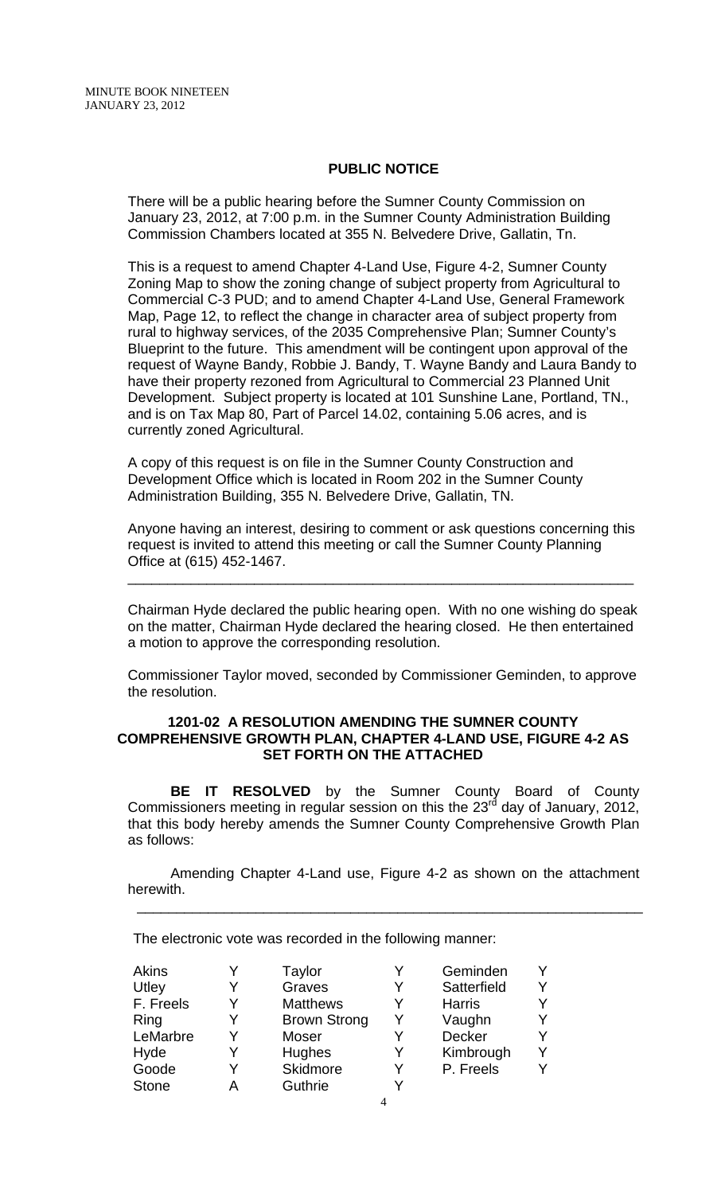### **PUBLIC NOTICE**

There will be a public hearing before the Sumner County Commission on January 23, 2012, at 7:00 p.m. in the Sumner County Administration Building Commission Chambers located at 355 N. Belvedere Drive, Gallatin, Tn.

This is a request to amend Chapter 4-Land Use, Figure 4-2, Sumner County Zoning Map to show the zoning change of subject property from Agricultural to Commercial C-3 PUD; and to amend Chapter 4-Land Use, General Framework Map, Page 12, to reflect the change in character area of subject property from rural to highway services, of the 2035 Comprehensive Plan; Sumner County's Blueprint to the future. This amendment will be contingent upon approval of the request of Wayne Bandy, Robbie J. Bandy, T. Wayne Bandy and Laura Bandy to have their property rezoned from Agricultural to Commercial 23 Planned Unit Development. Subject property is located at 101 Sunshine Lane, Portland, TN., and is on Tax Map 80, Part of Parcel 14.02, containing 5.06 acres, and is currently zoned Agricultural.

A copy of this request is on file in the Sumner County Construction and Development Office which is located in Room 202 in the Sumner County Administration Building, 355 N. Belvedere Drive, Gallatin, TN.

Anyone having an interest, desiring to comment or ask questions concerning this request is invited to attend this meeting or call the Sumner County Planning Office at (615) 452-1467.

\_\_\_\_\_\_\_\_\_\_\_\_\_\_\_\_\_\_\_\_\_\_\_\_\_\_\_\_\_\_\_\_\_\_\_\_\_\_\_\_\_\_\_\_\_\_\_\_\_\_\_\_\_\_\_\_\_\_\_\_\_\_\_\_

Chairman Hyde declared the public hearing open. With no one wishing do speak on the matter, Chairman Hyde declared the hearing closed. He then entertained a motion to approve the corresponding resolution.

Commissioner Taylor moved, seconded by Commissioner Geminden, to approve the resolution.

### **1201-02 A RESOLUTION AMENDING THE SUMNER COUNTY COMPREHENSIVE GROWTH PLAN, CHAPTER 4-LAND USE, FIGURE 4-2 AS SET FORTH ON THE ATTACHED**

**BE IT RESOLVED** by the Sumner County Board of County Commissioners meeting in regular session on this the 23 $^{rd}$  day of January, 2012, that this body hereby amends the Sumner County Comprehensive Growth Plan as follows:

Amending Chapter 4-Land use, Figure 4-2 as shown on the attachment herewith.

\_\_\_\_\_\_\_\_\_\_\_\_\_\_\_\_\_\_\_\_\_\_\_\_\_\_\_\_\_\_\_\_\_\_\_\_\_\_\_\_\_\_\_\_\_\_\_\_\_\_\_\_\_\_\_\_\_\_\_\_\_\_\_\_

The electronic vote was recorded in the following manner:

| <b>Akins</b> |   | <b>Taylor</b>       |   | Geminden      |  |
|--------------|---|---------------------|---|---------------|--|
| Utley        |   | Graves              | Y | Satterfield   |  |
| F. Freels    | Y | <b>Matthews</b>     | Y | <b>Harris</b> |  |
| Ring         | Y | <b>Brown Strong</b> |   | Vaughn        |  |
| LeMarbre     | Y | Moser               |   | <b>Decker</b> |  |
| Hyde         | Y | Hughes              | Y | Kimbrough     |  |
| Goode        | Y | Skidmore            | Y | P. Freels     |  |
| <b>Stone</b> | А | Guthrie             |   |               |  |
|              |   |                     |   |               |  |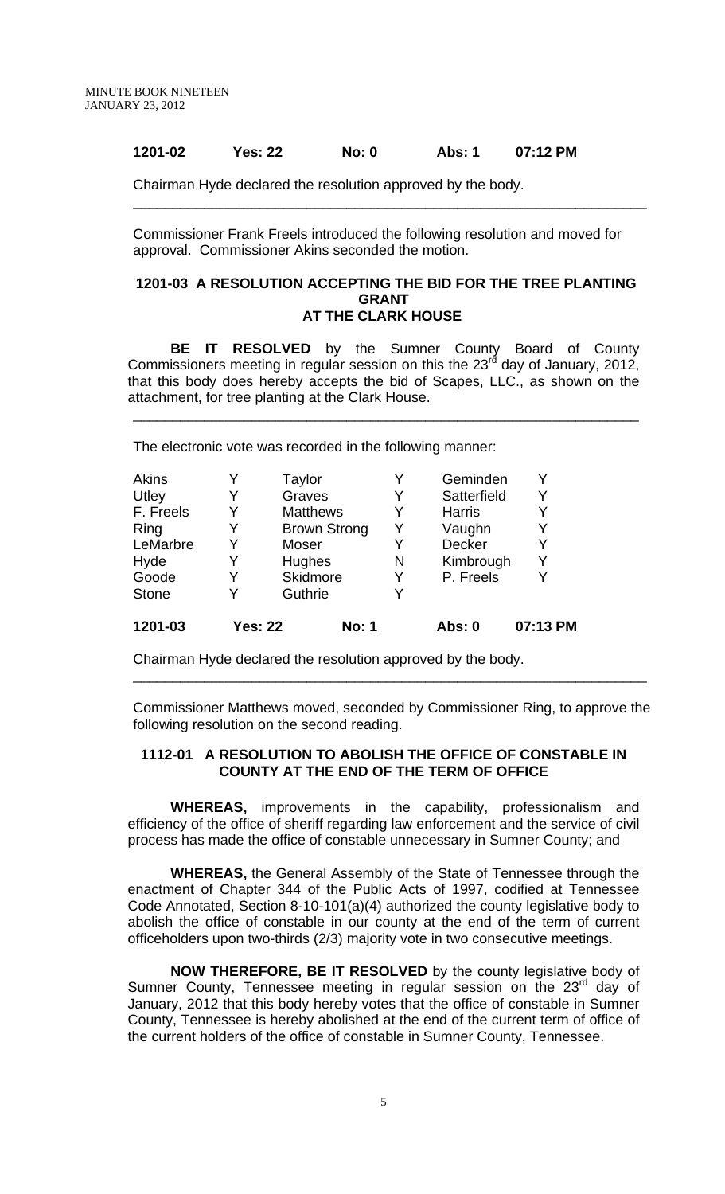## **1201-02 Yes: 22 No: 0 Abs: 1 07:12 PM**

Chairman Hyde declared the resolution approved by the body.

Commissioner Frank Freels introduced the following resolution and moved for approval. Commissioner Akins seconded the motion.

\_\_\_\_\_\_\_\_\_\_\_\_\_\_\_\_\_\_\_\_\_\_\_\_\_\_\_\_\_\_\_\_\_\_\_\_\_\_\_\_\_\_\_\_\_\_\_\_\_\_\_\_\_\_\_\_\_\_\_\_\_\_\_\_\_

#### **1201-03 A RESOLUTION ACCEPTING THE BID FOR THE TREE PLANTING GRANT AT THE CLARK HOUSE**

 **BE IT RESOLVED** by the Sumner County Board of County Commissioners meeting in regular session on this the  $23<sup>rd</sup>$  day of January, 2012, that this body does hereby accepts the bid of Scapes, LLC., as shown on the attachment, for tree planting at the Clark House.

\_\_\_\_\_\_\_\_\_\_\_\_\_\_\_\_\_\_\_\_\_\_\_\_\_\_\_\_\_\_\_\_\_\_\_\_\_\_\_\_\_\_\_\_\_\_\_\_\_\_\_\_\_\_\_\_\_\_\_\_\_\_\_\_

The electronic vote was recorded in the following manner:

| Akins        | Y              | Taylor              | Y | Geminden      | Y        |
|--------------|----------------|---------------------|---|---------------|----------|
| Utley        | Y              | Graves              | Y | Satterfield   | Y        |
| F. Freels    | Y              | <b>Matthews</b>     | Y | <b>Harris</b> | Y        |
| Ring         | Y              | <b>Brown Strong</b> | Y | Vaughn        | Y        |
| LeMarbre     | Y              | Moser               | Y | Decker        | Y        |
| Hyde         | Y              | Hughes              | N | Kimbrough     | Y        |
| Goode        | Y              | Skidmore            | Y | P. Freels     | Y        |
| <b>Stone</b> | Y              | Guthrie             | Y |               |          |
| 1201-03      | <b>Yes: 22</b> | <b>No: 1</b>        |   | Abs: 0        | 07:13 PM |

Chairman Hyde declared the resolution approved by the body.

Commissioner Matthews moved, seconded by Commissioner Ring, to approve the following resolution on the second reading.

\_\_\_\_\_\_\_\_\_\_\_\_\_\_\_\_\_\_\_\_\_\_\_\_\_\_\_\_\_\_\_\_\_\_\_\_\_\_\_\_\_\_\_\_\_\_\_\_\_\_\_\_\_\_\_\_\_\_\_\_\_\_\_\_\_

## **1112-01 A RESOLUTION TO ABOLISH THE OFFICE OF CONSTABLE IN COUNTY AT THE END OF THE TERM OF OFFICE**

 **WHEREAS,** improvements in the capability, professionalism and efficiency of the office of sheriff regarding law enforcement and the service of civil process has made the office of constable unnecessary in Sumner County; and

**WHEREAS,** the General Assembly of the State of Tennessee through the enactment of Chapter 344 of the Public Acts of 1997, codified at Tennessee Code Annotated, Section 8-10-101(a)(4) authorized the county legislative body to abolish the office of constable in our county at the end of the term of current officeholders upon two-thirds (2/3) majority vote in two consecutive meetings.

**NOW THEREFORE, BE IT RESOLVED** by the county legislative body of Sumner County, Tennessee meeting in regular session on the 23<sup>rd</sup> day of January, 2012 that this body hereby votes that the office of constable in Sumner County, Tennessee is hereby abolished at the end of the current term of office of the current holders of the office of constable in Sumner County, Tennessee.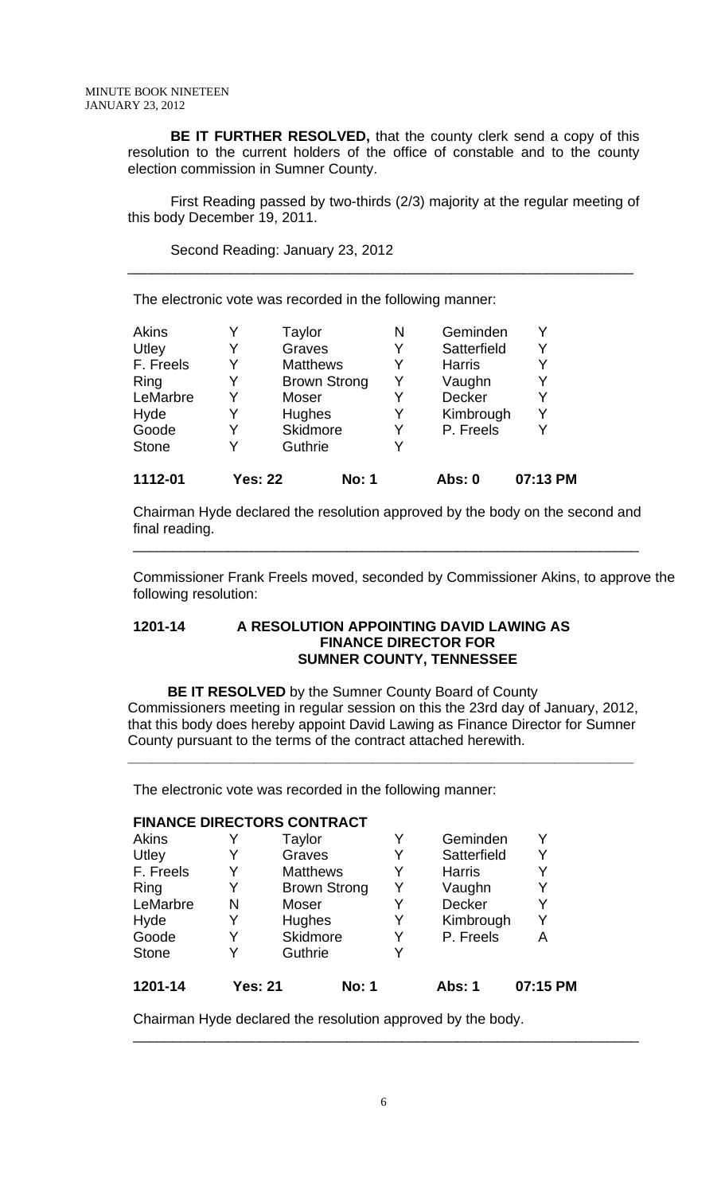**BE IT FURTHER RESOLVED,** that the county clerk send a copy of this resolution to the current holders of the office of constable and to the county election commission in Sumner County.

 First Reading passed by two-thirds (2/3) majority at the regular meeting of this body December 19, 2011.

\_\_\_\_\_\_\_\_\_\_\_\_\_\_\_\_\_\_\_\_\_\_\_\_\_\_\_\_\_\_\_\_\_\_\_\_\_\_\_\_\_\_\_\_\_\_\_\_\_\_\_\_\_\_\_\_\_\_\_\_\_\_\_\_

Second Reading: January 23, 2012

The electronic vote was recorded in the following manner:

| <b>Akins</b> |                | Taylor              | N | Geminden      |          |
|--------------|----------------|---------------------|---|---------------|----------|
| Utley        | Y              | Graves              | Y | Satterfield   | Y        |
| F. Freels    | Y              | <b>Matthews</b>     | Y | <b>Harris</b> | Y        |
| Ring         | Y              | <b>Brown Strong</b> | Y | Vaughn        | Y        |
| LeMarbre     |                | Moser               | Y | <b>Decker</b> |          |
| Hyde         |                | Hughes              | Y | Kimbrough     | Y        |
| Goode        | Y              | Skidmore            | Y | P. Freels     |          |
| <b>Stone</b> | Y              | Guthrie             | Y |               |          |
| 1112-01      | <b>Yes: 22</b> | <b>No: 1</b>        |   | Abs: 0        | 07:13 PM |

Chairman Hyde declared the resolution approved by the body on the second and final reading.

\_\_\_\_\_\_\_\_\_\_\_\_\_\_\_\_\_\_\_\_\_\_\_\_\_\_\_\_\_\_\_\_\_\_\_\_\_\_\_\_\_\_\_\_\_\_\_\_\_\_\_\_\_\_\_\_\_\_\_\_\_\_\_\_

Commissioner Frank Freels moved, seconded by Commissioner Akins, to approve the following resolution:

## **1201-14 A RESOLUTION APPOINTING DAVID LAWING AS FINANCE DIRECTOR FOR SUMNER COUNTY, TENNESSEE**

**BE IT RESOLVED** by the Sumner County Board of County Commissioners meeting in regular session on this the 23rd day of January, 2012, that this body does hereby appoint David Lawing as Finance Director for Sumner County pursuant to the terms of the contract attached herewith.

**\_\_\_\_\_\_\_\_\_\_\_\_\_\_\_\_\_\_\_\_\_\_\_\_\_\_\_\_\_\_\_\_\_\_\_\_\_\_\_\_\_\_\_\_\_\_\_\_\_\_\_\_\_\_\_\_\_\_\_\_\_\_\_\_**

The electronic vote was recorded in the following manner:

### **FINANCE DIRECTORS CONTRACT**

| Y | Guthrie             |   |               |   |
|---|---------------------|---|---------------|---|
| Y | Skidmore            | Y | P. Freels     | А |
|   | Hughes              | Y | Kimbrough     |   |
| N | Moser               | Y | <b>Decker</b> | Y |
| Y | <b>Brown Strong</b> | Y | Vaughn        | Y |
|   | <b>Matthews</b>     | Y | <b>Harris</b> |   |
|   | Graves              |   | Satterfield   | Y |
|   | Taylor              | Y | Geminden      |   |
|   |                     |   |               |   |

Chairman Hyde declared the resolution approved by the body.

\_\_\_\_\_\_\_\_\_\_\_\_\_\_\_\_\_\_\_\_\_\_\_\_\_\_\_\_\_\_\_\_\_\_\_\_\_\_\_\_\_\_\_\_\_\_\_\_\_\_\_\_\_\_\_\_\_\_\_\_\_\_\_\_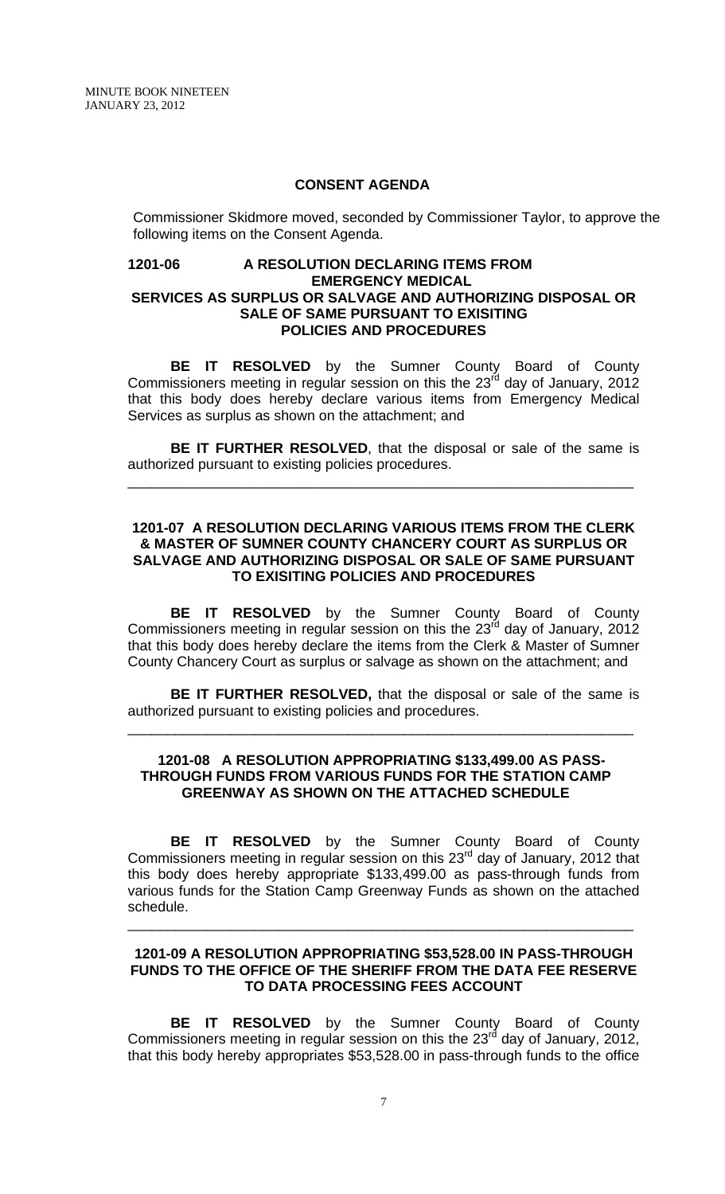#### **CONSENT AGENDA**

Commissioner Skidmore moved, seconded by Commissioner Taylor, to approve the following items on the Consent Agenda.

### **1201-06 A RESOLUTION DECLARING ITEMS FROM EMERGENCY MEDICAL SERVICES AS SURPLUS OR SALVAGE AND AUTHORIZING DISPOSAL OR SALE OF SAME PURSUANT TO EXISITING POLICIES AND PROCEDURES**

**BE IT RESOLVED** by the Sumner County Board of County Commissioners meeting in regular session on this the  $23<sup>rd</sup>$  day of January, 2012 that this body does hereby declare various items from Emergency Medical Services as surplus as shown on the attachment; and

**BE IT FURTHER RESOLVED**, that the disposal or sale of the same is authorized pursuant to existing policies procedures.

\_\_\_\_\_\_\_\_\_\_\_\_\_\_\_\_\_\_\_\_\_\_\_\_\_\_\_\_\_\_\_\_\_\_\_\_\_\_\_\_\_\_\_\_\_\_\_\_\_\_\_\_\_\_\_\_\_\_\_\_\_\_\_\_

## **1201-07 A RESOLUTION DECLARING VARIOUS ITEMS FROM THE CLERK & MASTER OF SUMNER COUNTY CHANCERY COURT AS SURPLUS OR SALVAGE AND AUTHORIZING DISPOSAL OR SALE OF SAME PURSUANT TO EXISITING POLICIES AND PROCEDURES**

**BE IT RESOLVED** by the Sumner County Board of County Commissioners meeting in regular session on this the  $23<sup>rd</sup>$  day of January, 2012 that this body does hereby declare the items from the Clerk & Master of Sumner County Chancery Court as surplus or salvage as shown on the attachment; and

**BE IT FURTHER RESOLVED,** that the disposal or sale of the same is authorized pursuant to existing policies and procedures.

\_\_\_\_\_\_\_\_\_\_\_\_\_\_\_\_\_\_\_\_\_\_\_\_\_\_\_\_\_\_\_\_\_\_\_\_\_\_\_\_\_\_\_\_\_\_\_\_\_\_\_\_\_\_\_\_\_\_\_\_\_\_\_\_

#### **1201-08 A RESOLUTION APPROPRIATING \$133,499.00 AS PASS-THROUGH FUNDS FROM VARIOUS FUNDS FOR THE STATION CAMP GREENWAY AS SHOWN ON THE ATTACHED SCHEDULE**

**BE IT RESOLVED** by the Sumner County Board of County Commissioners meeting in regular session on this 23<sup>rd</sup> day of January, 2012 that this body does hereby appropriate \$133,499.00 as pass-through funds from various funds for the Station Camp Greenway Funds as shown on the attached schedule.

#### **1201-09 A RESOLUTION APPROPRIATING \$53,528.00 IN PASS-THROUGH FUNDS TO THE OFFICE OF THE SHERIFF FROM THE DATA FEE RESERVE TO DATA PROCESSING FEES ACCOUNT**

\_\_\_\_\_\_\_\_\_\_\_\_\_\_\_\_\_\_\_\_\_\_\_\_\_\_\_\_\_\_\_\_\_\_\_\_\_\_\_\_\_\_\_\_\_\_\_\_\_\_\_\_\_\_\_\_\_\_\_\_\_\_\_\_

**BE IT RESOLVED** by the Sumner County Board of County Commissioners meeting in regular session on this the  $23<sup>rd</sup>$  day of January, 2012, that this body hereby appropriates \$53,528.00 in pass-through funds to the office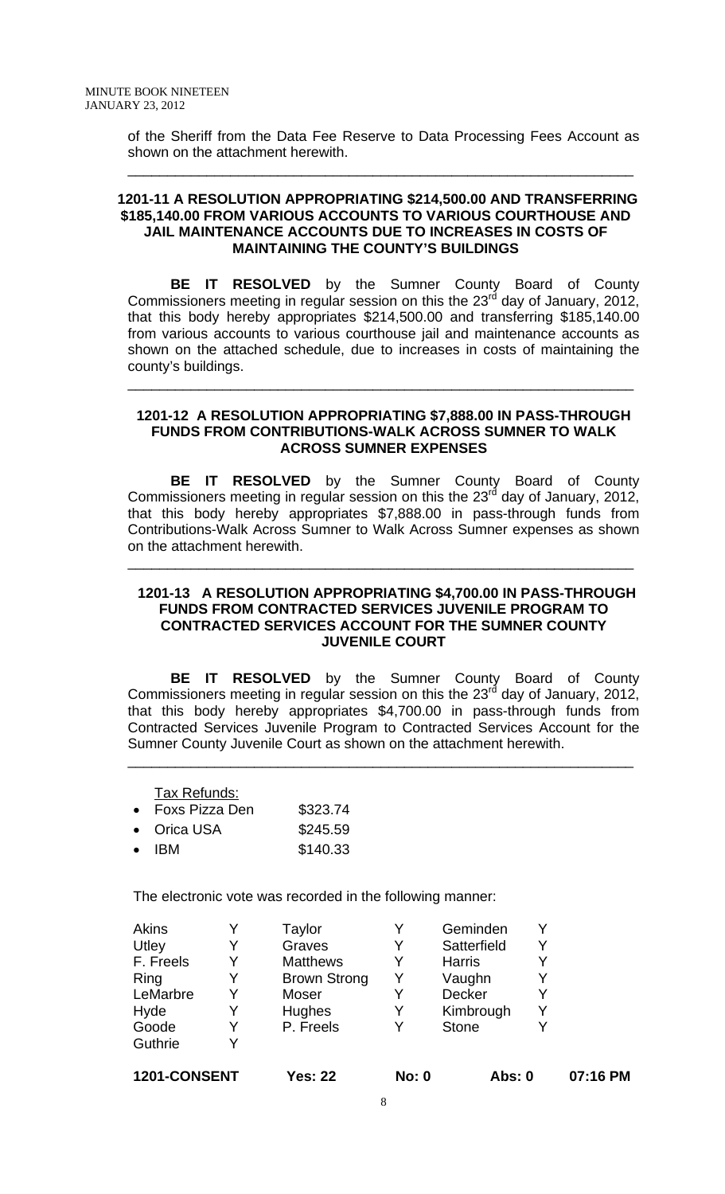of the Sheriff from the Data Fee Reserve to Data Processing Fees Account as shown on the attachment herewith.

\_\_\_\_\_\_\_\_\_\_\_\_\_\_\_\_\_\_\_\_\_\_\_\_\_\_\_\_\_\_\_\_\_\_\_\_\_\_\_\_\_\_\_\_\_\_\_\_\_\_\_\_\_\_\_\_\_\_\_\_\_\_\_\_

## **1201-11 A RESOLUTION APPROPRIATING \$214,500.00 AND TRANSFERRING \$185,140.00 FROM VARIOUS ACCOUNTS TO VARIOUS COURTHOUSE AND JAIL MAINTENANCE ACCOUNTS DUE TO INCREASES IN COSTS OF MAINTAINING THE COUNTY'S BUILDINGS**

 **BE IT RESOLVED** by the Sumner County Board of County Commissioners meeting in regular session on this the  $23<sup>rd</sup>$  day of January, 2012, that this body hereby appropriates \$214,500.00 and transferring \$185,140.00 from various accounts to various courthouse jail and maintenance accounts as shown on the attached schedule, due to increases in costs of maintaining the county's buildings.

### **1201-12 A RESOLUTION APPROPRIATING \$7,888.00 IN PASS-THROUGH FUNDS FROM CONTRIBUTIONS-WALK ACROSS SUMNER TO WALK ACROSS SUMNER EXPENSES**

\_\_\_\_\_\_\_\_\_\_\_\_\_\_\_\_\_\_\_\_\_\_\_\_\_\_\_\_\_\_\_\_\_\_\_\_\_\_\_\_\_\_\_\_\_\_\_\_\_\_\_\_\_\_\_\_\_\_\_\_\_\_\_\_

 **BE IT RESOLVED** by the Sumner County Board of County Commissioners meeting in regular session on this the  $23<sup>rd</sup>$  day of January, 2012, that this body hereby appropriates \$7,888.00 in pass-through funds from Contributions-Walk Across Sumner to Walk Across Sumner expenses as shown on the attachment herewith.

\_\_\_\_\_\_\_\_\_\_\_\_\_\_\_\_\_\_\_\_\_\_\_\_\_\_\_\_\_\_\_\_\_\_\_\_\_\_\_\_\_\_\_\_\_\_\_\_\_\_\_\_\_\_\_\_\_\_\_\_\_\_\_\_

### **1201-13 A RESOLUTION APPROPRIATING \$4,700.00 IN PASS-THROUGH FUNDS FROM CONTRACTED SERVICES JUVENILE PROGRAM TO CONTRACTED SERVICES ACCOUNT FOR THE SUMNER COUNTY JUVENILE COURT**

**BE IT RESOLVED** by the Sumner County Board of County Commissioners meeting in regular session on this the 23 $^{\text{rd}}$  day of January, 2012, that this body hereby appropriates \$4,700.00 in pass-through funds from Contracted Services Juvenile Program to Contracted Services Account for the Sumner County Juvenile Court as shown on the attachment herewith.

\_\_\_\_\_\_\_\_\_\_\_\_\_\_\_\_\_\_\_\_\_\_\_\_\_\_\_\_\_\_\_\_\_\_\_\_\_\_\_\_\_\_\_\_\_\_\_\_\_\_\_\_\_\_\_\_\_\_\_\_\_\_\_\_

Tax Refunds:

| $\bullet$ | Foxs Pizza Den | \$323.74 |
|-----------|----------------|----------|
| $\bullet$ | Orica USA      | \$245.59 |

• IBM \$140.33

The electronic vote was recorded in the following manner:

| <b>Akins</b> |   | Taylor              |   | Geminden      |   |
|--------------|---|---------------------|---|---------------|---|
| Utley        | Y | Graves              | Y | Satterfield   | v |
| F. Freels    | Y | <b>Matthews</b>     | Y | <b>Harris</b> |   |
| Ring         | Y | <b>Brown Strong</b> | Y | Vaughn        |   |
| LeMarbre     | Y | Moser               |   | <b>Decker</b> |   |
| Hyde         | Y | <b>Hughes</b>       | Y | Kimbrough     |   |
| Goode        | Y | P. Freels           | V | <b>Stone</b>  |   |
| Guthrie      | Y |                     |   |               |   |

**1201-CONSENT Yes: 22 No: 0 Abs: 0 07:16 PM**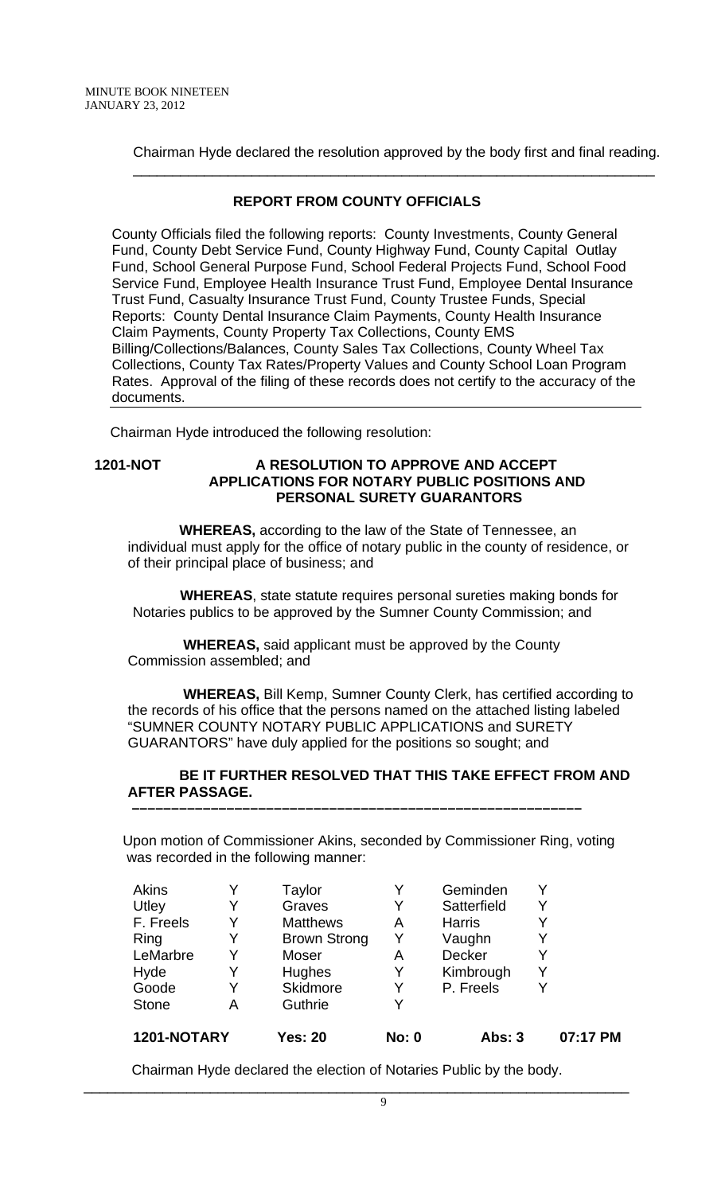Chairman Hyde declared the resolution approved by the body first and final reading. \_\_\_\_\_\_\_\_\_\_\_\_\_\_\_\_\_\_\_\_\_\_\_\_\_\_\_\_\_\_\_\_\_\_\_\_\_\_\_\_\_\_\_\_\_\_\_\_\_\_\_\_\_\_\_\_\_\_\_\_\_\_\_\_\_\_

# **REPORT FROM COUNTY OFFICIALS**

County Officials filed the following reports: County Investments, County General Fund, County Debt Service Fund, County Highway Fund, County Capital Outlay Fund, School General Purpose Fund, School Federal Projects Fund, School Food Service Fund, Employee Health Insurance Trust Fund, Employee Dental Insurance Trust Fund, Casualty Insurance Trust Fund, County Trustee Funds, Special Reports: County Dental Insurance Claim Payments, County Health Insurance Claim Payments, County Property Tax Collections, County EMS Billing/Collections/Balances, County Sales Tax Collections, County Wheel Tax Collections, County Tax Rates/Property Values and County School Loan Program Rates. Approval of the filing of these records does not certify to the accuracy of the documents.

Chairman Hyde introduced the following resolution:

### **1201-NOT A RESOLUTION TO APPROVE AND ACCEPT APPLICATIONS FOR NOTARY PUBLIC POSITIONS AND PERSONAL SURETY GUARANTORS**

 **WHEREAS,** according to the law of the State of Tennessee, an individual must apply for the office of notary public in the county of residence, or of their principal place of business; and

 **WHEREAS**, state statute requires personal sureties making bonds for Notaries publics to be approved by the Sumner County Commission; and

 **WHEREAS,** said applicant must be approved by the County Commission assembled; and

 **WHEREAS,** Bill Kemp, Sumner County Clerk, has certified according to the records of his office that the persons named on the attached listing labeled "SUMNER COUNTY NOTARY PUBLIC APPLICATIONS and SURETY GUARANTORS" have duly applied for the positions so sought; and

## **BE IT FURTHER RESOLVED THAT THIS TAKE EFFECT FROM AND AFTER PASSAGE.**

Upon motion of Commissioner Akins, seconded by Commissioner Ring, voting was recorded in the following manner:

 **–––––––––––––––––––––––––––––––––––––––––––––––––––––––––**

| Akins        | Y | Taylor              | Y            | Geminden      | Y        |
|--------------|---|---------------------|--------------|---------------|----------|
| Utley        | Y | Graves              | Y            | Satterfield   | Y        |
| F. Freels    | Y | <b>Matthews</b>     | Α            | <b>Harris</b> | Y        |
| Ring         | Y | <b>Brown Strong</b> | Y            | Vaughn        | Y        |
| LeMarbre     | Y | Moser               | Α            | Decker        | Y        |
| Hyde         | Y | Hughes              | Y            | Kimbrough     | Y        |
| Goode        | Y | Skidmore            | Y            | P. Freels     |          |
| <b>Stone</b> | A | Guthrie             | Y            |               |          |
| 1201-NOTARY  |   | <b>Yes: 20</b>      | <b>No: 0</b> | <b>Abs: 3</b> | 07:17 PM |

Chairman Hyde declared the election of Notaries Public by the body.

\_\_\_\_\_\_\_\_\_\_\_\_\_\_\_\_\_\_\_\_\_\_\_\_\_\_\_\_\_\_\_\_\_\_\_\_\_\_\_\_\_\_\_\_\_\_\_\_\_\_\_\_\_\_\_\_\_\_\_\_\_\_\_\_\_\_\_\_\_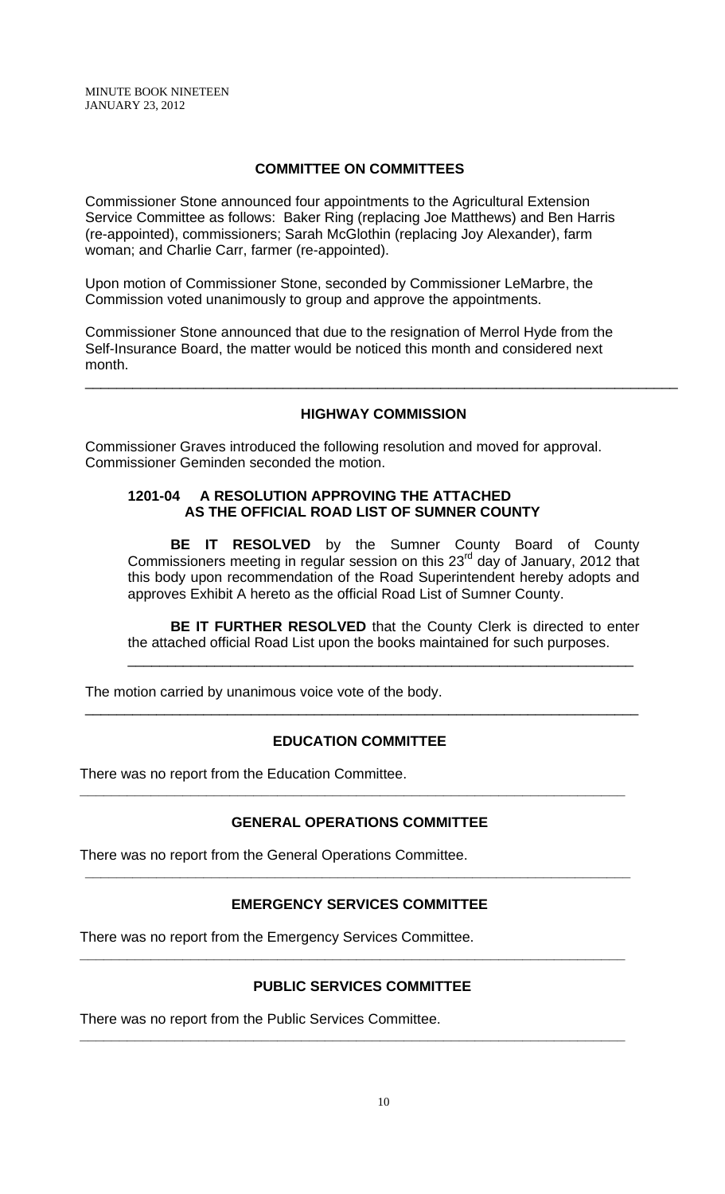MINUTE BOOK NINETEEN JANUARY 23, 2012

## **COMMITTEE ON COMMITTEES**

Commissioner Stone announced four appointments to the Agricultural Extension Service Committee as follows: Baker Ring (replacing Joe Matthews) and Ben Harris (re-appointed), commissioners; Sarah McGlothin (replacing Joy Alexander), farm woman; and Charlie Carr, farmer (re-appointed).

Upon motion of Commissioner Stone, seconded by Commissioner LeMarbre, the Commission voted unanimously to group and approve the appointments.

Commissioner Stone announced that due to the resignation of Merrol Hyde from the Self-Insurance Board, the matter would be noticed this month and considered next month.

### **HIGHWAY COMMISSION**

\_\_\_\_\_\_\_\_\_\_\_\_\_\_\_\_\_\_\_\_\_\_\_\_\_\_\_\_\_\_\_\_\_\_\_\_\_\_\_\_\_\_\_\_\_\_\_\_\_\_\_\_\_\_\_\_\_\_\_\_\_\_\_\_\_\_\_\_\_\_\_\_\_\_\_

Commissioner Graves introduced the following resolution and moved for approval. Commissioner Geminden seconded the motion.

## **1201-04 A RESOLUTION APPROVING THE ATTACHED AS THE OFFICIAL ROAD LIST OF SUMNER COUNTY**

**BE IT RESOLVED** by the Sumner County Board of County Commissioners meeting in regular session on this  $23<sup>rd</sup>$  day of January, 2012 that this body upon recommendation of the Road Superintendent hereby adopts and approves Exhibit A hereto as the official Road List of Sumner County.

**BE IT FURTHER RESOLVED** that the County Clerk is directed to enter the attached official Road List upon the books maintained for such purposes.

\_\_\_\_\_\_\_\_\_\_\_\_\_\_\_\_\_\_\_\_\_\_\_\_\_\_\_\_\_\_\_\_\_\_\_\_\_\_\_\_\_\_\_\_\_\_\_\_\_\_\_\_\_\_\_\_\_\_\_\_\_\_\_\_

The motion carried by unanimous voice vote of the body.

# **EDUCATION COMMITTEE**

\_\_\_\_\_\_\_\_\_\_\_\_\_\_\_\_\_\_\_\_\_\_\_\_\_\_\_\_\_\_\_\_\_\_\_\_\_\_\_\_\_\_\_\_\_\_\_\_\_\_\_\_\_\_\_\_\_\_\_\_\_\_\_\_\_\_\_\_\_\_

There was no report from the Education Committee.

### **GENERAL OPERATIONS COMMITTEE**

**\_\_\_\_\_\_\_\_\_\_\_\_\_\_\_\_\_\_\_\_\_\_\_\_\_\_\_\_\_\_\_\_\_\_\_\_\_\_\_\_\_\_\_\_\_\_\_\_\_\_\_\_\_\_\_\_\_\_\_\_\_\_\_\_\_\_\_\_\_** 

There was no report from the General Operations Committee.

# **EMERGENCY SERVICES COMMITTEE**

**\_\_\_\_\_\_\_\_\_\_\_\_\_\_\_\_\_\_\_\_\_\_\_\_\_\_\_\_\_\_\_\_\_\_\_\_\_\_\_\_\_\_\_\_\_\_\_\_\_\_\_\_\_\_\_\_\_\_\_\_\_\_\_\_\_\_\_\_\_** 

There was no report from the Emergency Services Committee.

# **PUBLIC SERVICES COMMITTEE**

**\_\_\_\_\_\_\_\_\_\_\_\_\_\_\_\_\_\_\_\_\_\_\_\_\_\_\_\_\_\_\_\_\_\_\_\_\_\_\_\_\_\_\_\_\_\_\_\_\_\_\_\_\_\_\_\_\_\_\_\_\_\_\_\_\_\_\_\_\_** 

**\_\_\_\_\_\_\_\_\_\_\_\_\_\_\_\_\_\_\_\_\_\_\_\_\_\_\_\_\_\_\_\_\_\_\_\_\_\_\_\_\_\_\_\_\_\_\_\_\_\_\_\_\_\_\_\_\_\_\_\_\_\_\_\_\_\_\_\_\_** 

There was no report from the Public Services Committee.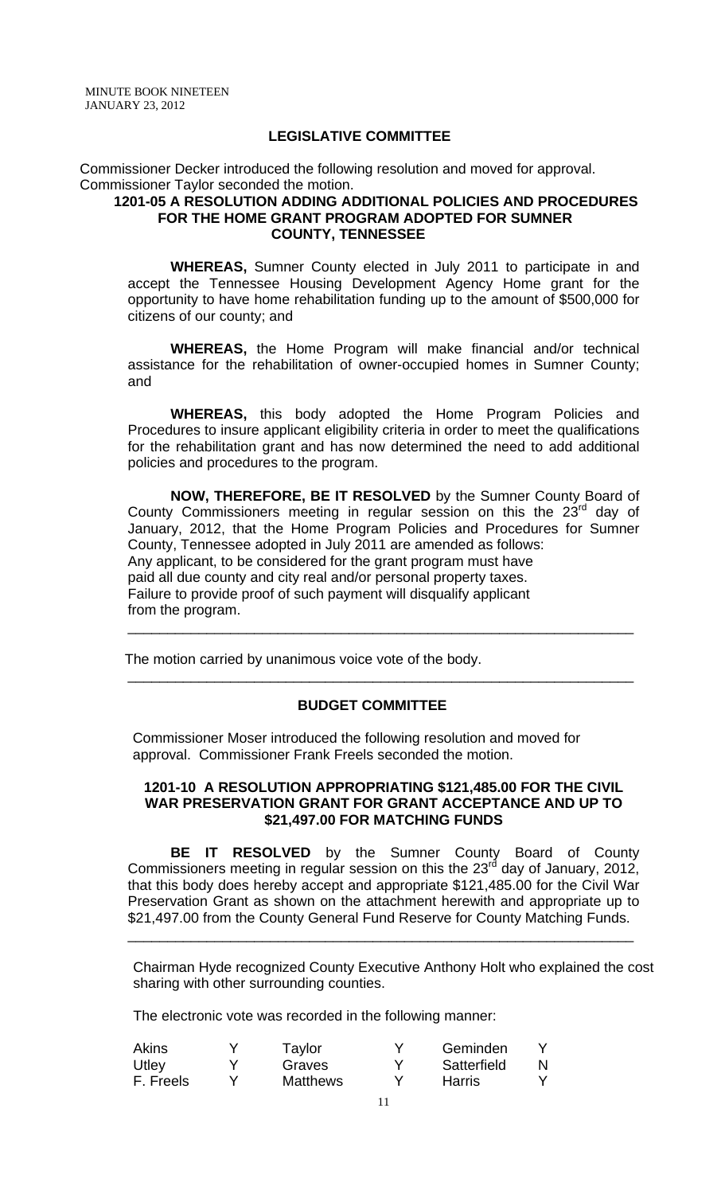#### **LEGISLATIVE COMMITTEE**

Commissioner Decker introduced the following resolution and moved for approval. Commissioner Taylor seconded the motion.

### **1201-05 A RESOLUTION ADDING ADDITIONAL POLICIES AND PROCEDURES FOR THE HOME GRANT PROGRAM ADOPTED FOR SUMNER COUNTY, TENNESSEE**

**WHEREAS,** Sumner County elected in July 2011 to participate in and accept the Tennessee Housing Development Agency Home grant for the opportunity to have home rehabilitation funding up to the amount of \$500,000 for citizens of our county; and

**WHEREAS,** the Home Program will make financial and/or technical assistance for the rehabilitation of owner-occupied homes in Sumner County; and

**WHEREAS,** this body adopted the Home Program Policies and Procedures to insure applicant eligibility criteria in order to meet the qualifications for the rehabilitation grant and has now determined the need to add additional policies and procedures to the program.

**NOW, THEREFORE, BE IT RESOLVED** by the Sumner County Board of County Commissioners meeting in regular session on this the  $23<sup>rd</sup>$  day of January, 2012, that the Home Program Policies and Procedures for Sumner County, Tennessee adopted in July 2011 are amended as follows: Any applicant, to be considered for the grant program must have paid all due county and city real and/or personal property taxes. Failure to provide proof of such payment will disqualify applicant from the program.

\_\_\_\_\_\_\_\_\_\_\_\_\_\_\_\_\_\_\_\_\_\_\_\_\_\_\_\_\_\_\_\_\_\_\_\_\_\_\_\_\_\_\_\_\_\_\_\_\_\_\_\_\_\_\_\_\_\_\_\_\_\_\_\_

\_\_\_\_\_\_\_\_\_\_\_\_\_\_\_\_\_\_\_\_\_\_\_\_\_\_\_\_\_\_\_\_\_\_\_\_\_\_\_\_\_\_\_\_\_\_\_\_\_\_\_\_\_\_\_\_\_\_\_\_\_\_\_\_

The motion carried by unanimous voice vote of the body.

## **BUDGET COMMITTEE**

Commissioner Moser introduced the following resolution and moved for approval. Commissioner Frank Freels seconded the motion.

### **1201-10 A RESOLUTION APPROPRIATING \$121,485.00 FOR THE CIVIL WAR PRESERVATION GRANT FOR GRANT ACCEPTANCE AND UP TO \$21,497.00 FOR MATCHING FUNDS**

**BE IT RESOLVED** by the Sumner County Board of County Commissioners meeting in regular session on this the 23 $<sup>rd</sup>$  day of January, 2012,</sup> that this body does hereby accept and appropriate \$121,485.00 for the Civil War Preservation Grant as shown on the attachment herewith and appropriate up to \$21,497.00 from the County General Fund Reserve for County Matching Funds.

\_\_\_\_\_\_\_\_\_\_\_\_\_\_\_\_\_\_\_\_\_\_\_\_\_\_\_\_\_\_\_\_\_\_\_\_\_\_\_\_\_\_\_\_\_\_\_\_\_\_\_\_\_\_\_\_\_\_\_\_\_\_\_\_

Chairman Hyde recognized County Executive Anthony Holt who explained the cost sharing with other surrounding counties.

The electronic vote was recorded in the following manner:

| Akins     | Taylor          | Geminden    |  |
|-----------|-----------------|-------------|--|
| Utley     | Graves          | Satterfield |  |
| F. Freels | <b>Matthews</b> | Harris      |  |